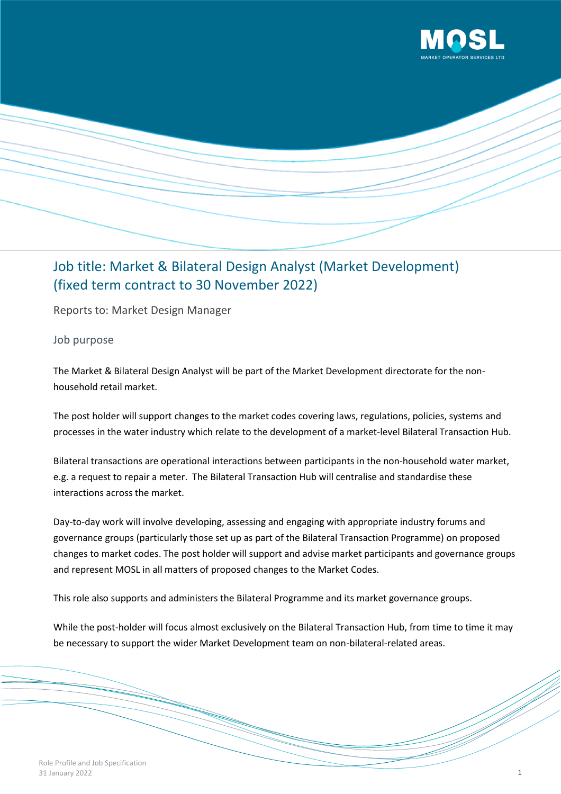



# Job title: Market & Bilateral Design Analyst (Market Development) (fixed term contract to 30 November 2022)

Reports to: Market Design Manager

## Job purpose

The Market & Bilateral Design Analyst will be part of the Market Development directorate for the nonhousehold retail market.

The post holder will support changes to the market codes covering laws, regulations, policies, systems and processes in the water industry which relate to the development of a market-level Bilateral Transaction Hub.

Bilateral transactions are operational interactions between participants in the non-household water market, e.g. a request to repair a meter. The Bilateral Transaction Hub will centralise and standardise these interactions across the market.

Day-to-day work will involve developing, assessing and engaging with appropriate industry forums and governance groups (particularly those set up as part of the Bilateral Transaction Programme) on proposed changes to market codes. The post holder will support and advise market participants and governance groups and represent MOSL in all matters of proposed changes to the Market Codes.

This role also supports and administers the Bilateral Programme and its market governance groups.

While the post-holder will focus almost exclusively on the Bilateral Transaction Hub, from time to time it may be necessary to support the wider Market Development team on non-bilateral-related areas.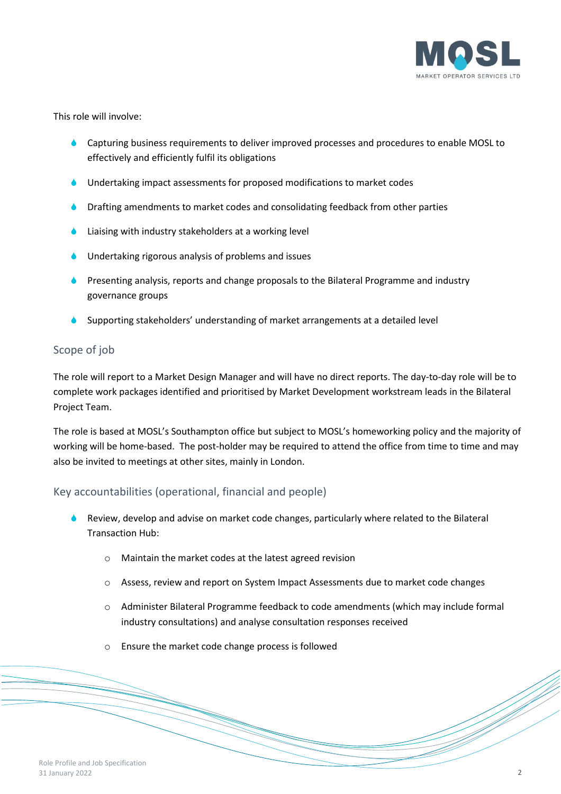

## This role will involve:

- Capturing business requirements to deliver improved processes and procedures to enable MOSL to effectively and efficiently fulfil its obligations
- Undertaking impact assessments for proposed modifications to market codes
- Drafting amendments to market codes and consolidating feedback from other parties
- Liaising with industry stakeholders at a working level
- Undertaking rigorous analysis of problems and issues
- Presenting analysis, reports and change proposals to the Bilateral Programme and industry governance groups
- Supporting stakeholders' understanding of market arrangements at a detailed level

## Scope of job

The role will report to a Market Design Manager and will have no direct reports. The day-to-day role will be to complete work packages identified and prioritised by Market Development workstream leads in the Bilateral Project Team.

The role is based at MOSL's Southampton office but subject to MOSL's homeworking policy and the majority of working will be home-based. The post-holder may be required to attend the office from time to time and may also be invited to meetings at other sites, mainly in London.

## Key accountabilities (operational, financial and people)

- Review, develop and advise on market code changes, particularly where related to the Bilateral Transaction Hub:
	- o Maintain the market codes at the latest agreed revision
	- $\circ$  Assess, review and report on System Impact Assessments due to market code changes
	- o Administer Bilateral Programme feedback to code amendments (which may include formal industry consultations) and analyse consultation responses received
	- o Ensure the market code change process is followed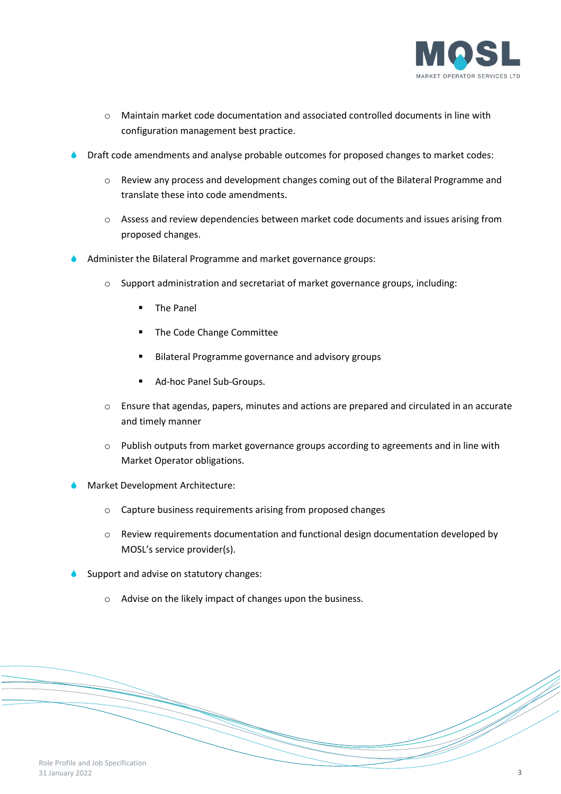

- $\circ$  Maintain market code documentation and associated controlled documents in line with configuration management best practice.
- Draft code amendments and analyse probable outcomes for proposed changes to market codes:
	- o Review any process and development changes coming out of the Bilateral Programme and translate these into code amendments.
	- o Assess and review dependencies between market code documents and issues arising from proposed changes.
- Administer the Bilateral Programme and market governance groups:
	- o Support administration and secretariat of market governance groups, including:
		- The Panel
		- The Code Change Committee
		- Bilateral Programme governance and advisory groups
		- Ad-hoc Panel Sub-Groups.
	- o Ensure that agendas, papers, minutes and actions are prepared and circulated in an accurate and timely manner
	- o Publish outputs from market governance groups according to agreements and in line with Market Operator obligations.
- Market Development Architecture:
	- o Capture business requirements arising from proposed changes
	- o Review requirements documentation and functional design documentation developed by MOSL's service provider(s).
- Support and advise on statutory changes:
	- o Advise on the likely impact of changes upon the business.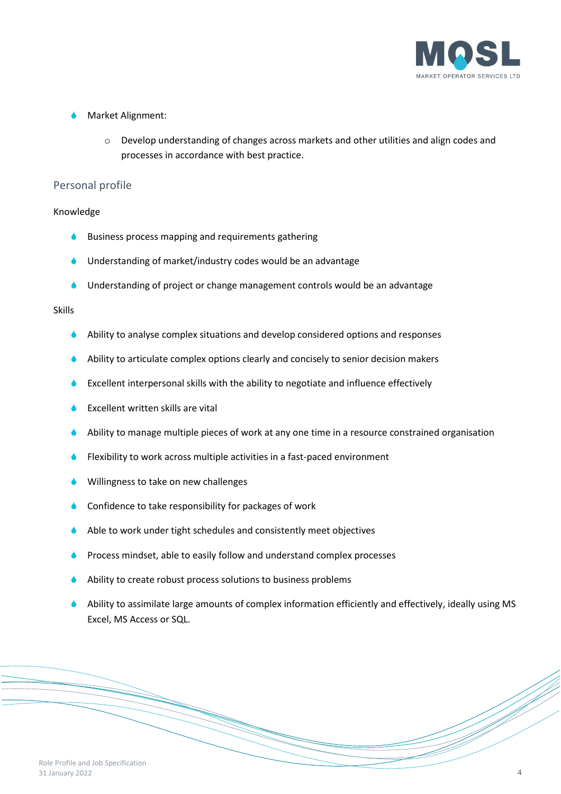

## Market Alignment:

o Develop understanding of changes across markets and other utilities and align codes and processes in accordance with best practice.

## Personal profile

#### Knowledge

- Business process mapping and requirements gathering
- Understanding of market/industry codes would be an advantage
- Understanding of project or change management controls would be an advantage

#### Skills

- Ability to analyse complex situations and develop considered options and responses
- Ability to articulate complex options clearly and concisely to senior decision makers
- Excellent interpersonal skills with the ability to negotiate and influence effectively
- Excellent written skills are vital
- Ability to manage multiple pieces of work at any one time in a resource constrained organisation
- Flexibility to work across multiple activities in a fast-paced environment
- Willingness to take on new challenges
- Confidence to take responsibility for packages of work
- Able to work under tight schedules and consistently meet objectives
- Process mindset, able to easily follow and understand complex processes
- Ability to create robust process solutions to business problems
- Ability to assimilate large amounts of complex information efficiently and effectively, ideally using MS Excel, MS Access or SQL.